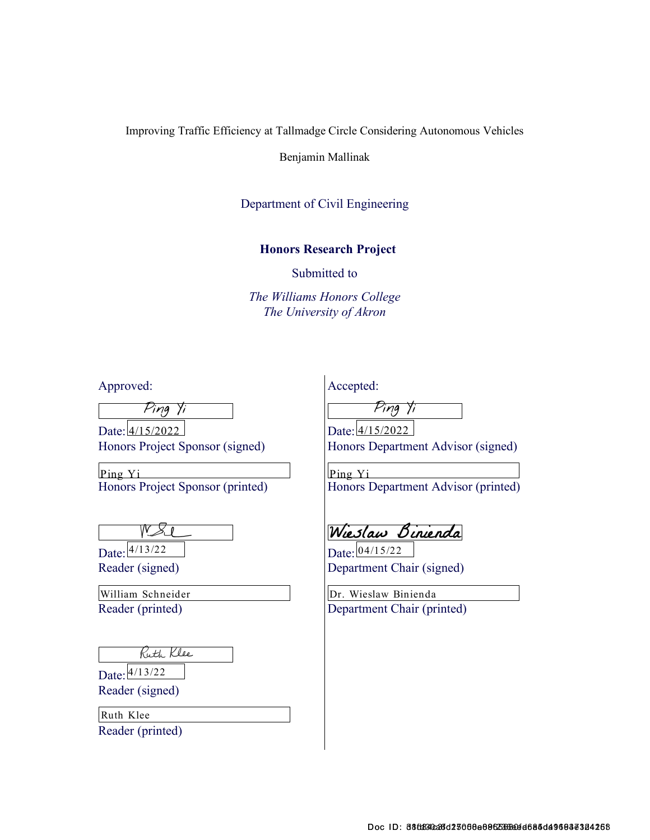Improving Traffic Efficiency at Tallmadge Circle Considering Autonomous Vehicles

Benjamin Mallinak

#### Department of Civil Engineering

#### Honors Research Project

Submitted to

The Williams Honors College The University of Akron

Approved:

Ping Yi

Date: 4/15/2022 Honors Project Sponsor (signed) A/15/2022 Date: 4/15/2022

Honors Project Sponsor (printed) Ping Yi Ping Yi

Date:  $\frac{4/13/22}{ }$ Reader (signed)

Reader (printed) William Schneider

Ruth Klee

Date: 4/13/22

Reader (signed)

Reader (printed) Ruth Klee

Accepted:

Ping Yi

Honors Department Advisor (signed)

Honors Department Advisor (printed)

Wieslaw Binienda

Date: 04/15/22 Department Chair (signed)

Department Chair (printed) Dr. Wieslaw Binienda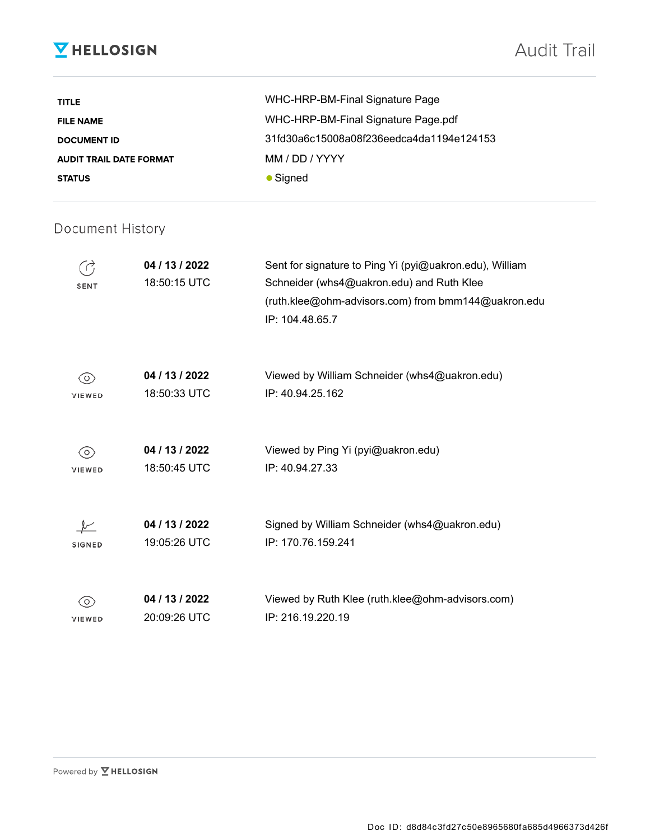## **V** HELLOSIGN

| TITLE                          | WHC-HRP-BM-Final Signature Page          |
|--------------------------------|------------------------------------------|
| <b>FILE NAME</b>               | WHC-HRP-BM-Final Signature Page.pdf      |
| <b>DOCUMENT ID</b>             | 31fd30a6c15008a08f236eedca4da1194e124153 |
| <b>AUDIT TRAIL DATE FORMAT</b> | MM / DD / YYYY                           |
| <b>STATUS</b>                  | $\bullet$ Signed                         |

### Document History

| <b>SENT</b>   | 04 / 13 / 2022<br>18:50:15 UTC | Sent for signature to Ping Yi (pyi@uakron.edu), William<br>Schneider (whs4@uakron.edu) and Ruth Klee<br>(ruth.klee@ohm-advisors.com) from bmm144@uakron.edu<br>IP: 104.48.65.7 |
|---------------|--------------------------------|--------------------------------------------------------------------------------------------------------------------------------------------------------------------------------|
| $\circ$       | 04 / 13 / 2022                 | Viewed by William Schneider (whs4@uakron.edu)                                                                                                                                  |
| VIEWED        | 18:50:33 UTC                   | IP: 40.94.25.162                                                                                                                                                               |
| $\circ$       | 04 / 13 / 2022                 | Viewed by Ping Yi (pyi@uakron.edu)                                                                                                                                             |
| VIEWED        | 18:50:45 UTC                   | IP: 40.94.27.33                                                                                                                                                                |
| <b>SIGNED</b> | 04 / 13 / 2022<br>19:05:26 UTC | Signed by William Schneider (whs4@uakron.edu)<br>IP: 170.76.159.241                                                                                                            |
| $\circ$       | 04 / 13 / 2022                 | Viewed by Ruth Klee (ruth.klee@ohm-advisors.com)                                                                                                                               |
| <b>VIEWED</b> | 20:09:26 UTC                   | IP: 216.19.220.19                                                                                                                                                              |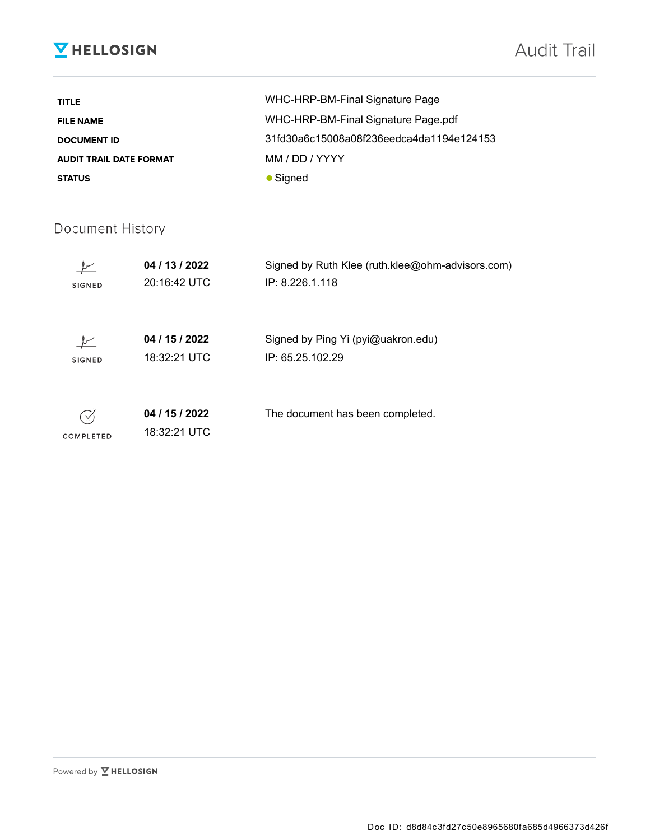## **V** HELLOSIGN

| <b>TITLE</b>                   | WHC-HRP-BM-Final Signature Page          |
|--------------------------------|------------------------------------------|
| <b>FILE NAME</b>               | WHC-HRP-BM-Final Signature Page.pdf      |
| <b>DOCUMENT ID</b>             | 31fd30a6c15008a08f236eedca4da1194e124153 |
| <b>AUDIT TRAIL DATE FORMAT</b> | MM / DD / YYYY                           |
| <b>STATUS</b>                  | $\bullet$ Signed                         |

### Document History

| <b>SIGNED</b> | 04 / 13 / 2022<br>20:16:42 UTC | Signed by Ruth Klee (ruth.klee@ohm-advisors.com)<br>IP: 8.226.1.118 |
|---------------|--------------------------------|---------------------------------------------------------------------|
| <b>SIGNED</b> | 04 / 15 / 2022<br>18:32:21 UTC | Signed by Ping Yi (pyi@uakron.edu)<br>IP: 65.25.102.29              |
| COMPLETED     | 04 / 15 / 2022<br>18:32:21 UTC | The document has been completed.                                    |